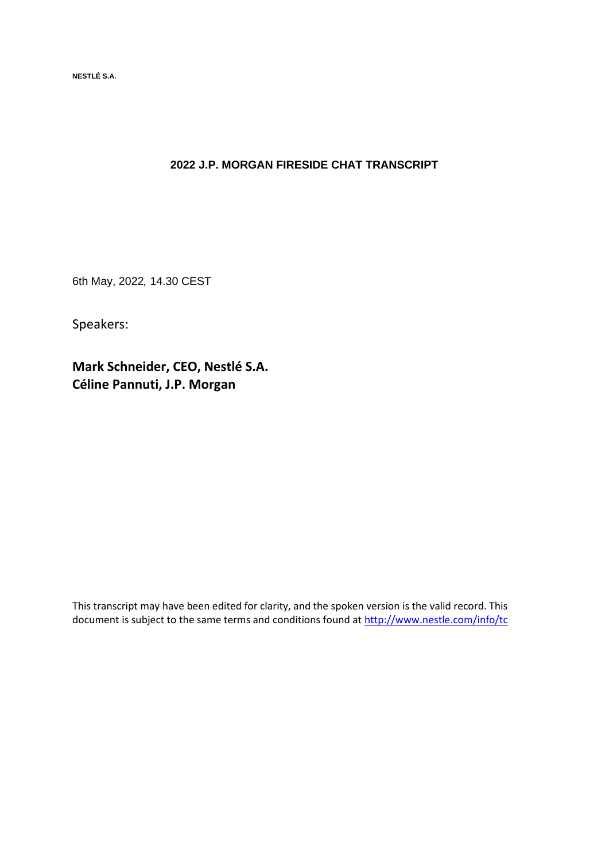**NESTLÉ S.A.** 

## **2022 J.P. MORGAN FIRESIDE CHAT TRANSCRIPT**

6th May, 2022*,* 14.30 CEST

Speakers:

**Mark Schneider, CEO, Nestlé S.A. Céline Pannuti, J.P. Morgan**

This transcript may have been edited for clarity, and the spoken version is the valid record. This document is subject to the same terms and conditions found at<http://www.nestle.com/info/tc>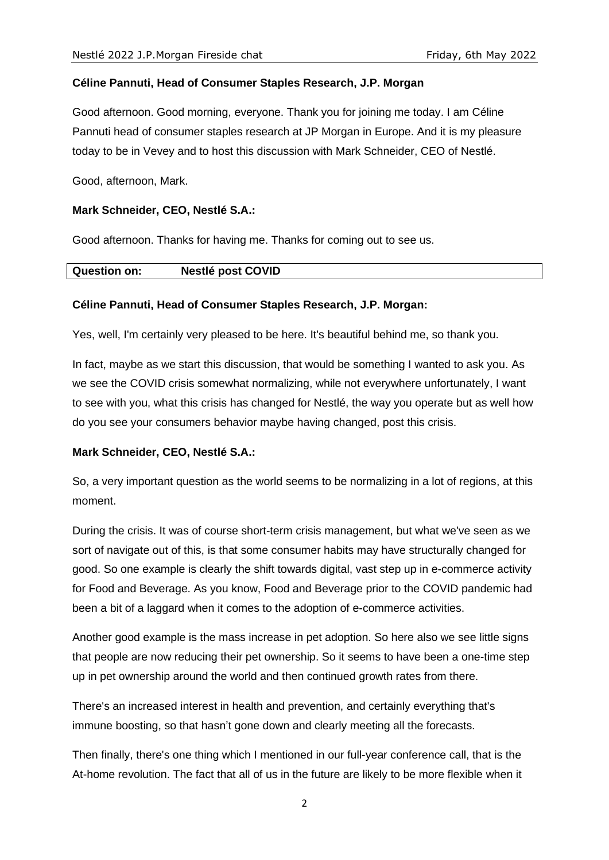## **Céline Pannuti, Head of Consumer Staples Research, J.P. Morgan**

Good afternoon. Good morning, everyone. Thank you for joining me today. I am Céline Pannuti head of consumer staples research at JP Morgan in Europe. And it is my pleasure today to be in Vevey and to host this discussion with Mark Schneider, CEO of Nestlé.

Good, afternoon, Mark.

## **Mark Schneider, CEO, Nestlé S.A.:**

Good afternoon. Thanks for having me. Thanks for coming out to see us.

| <b>Question on:</b> | <b>Nestlé post COVID</b> |  |
|---------------------|--------------------------|--|
|---------------------|--------------------------|--|

## **Céline Pannuti, Head of Consumer Staples Research, J.P. Morgan:**

Yes, well, I'm certainly very pleased to be here. It's beautiful behind me, so thank you.

In fact, maybe as we start this discussion, that would be something I wanted to ask you. As we see the COVID crisis somewhat normalizing, while not everywhere unfortunately, I want to see with you, what this crisis has changed for Nestlé, the way you operate but as well how do you see your consumers behavior maybe having changed, post this crisis.

## **Mark Schneider, CEO, Nestlé S.A.:**

So, a very important question as the world seems to be normalizing in a lot of regions, at this moment.

During the crisis. It was of course short-term crisis management, but what we've seen as we sort of navigate out of this, is that some consumer habits may have structurally changed for good. So one example is clearly the shift towards digital, vast step up in e-commerce activity for Food and Beverage. As you know, Food and Beverage prior to the COVID pandemic had been a bit of a laggard when it comes to the adoption of e-commerce activities.

Another good example is the mass increase in pet adoption. So here also we see little signs that people are now reducing their pet ownership. So it seems to have been a one-time step up in pet ownership around the world and then continued growth rates from there.

There's an increased interest in health and prevention, and certainly everything that's immune boosting, so that hasn't gone down and clearly meeting all the forecasts.

Then finally, there's one thing which I mentioned in our full-year conference call, that is the At-home revolution. The fact that all of us in the future are likely to be more flexible when it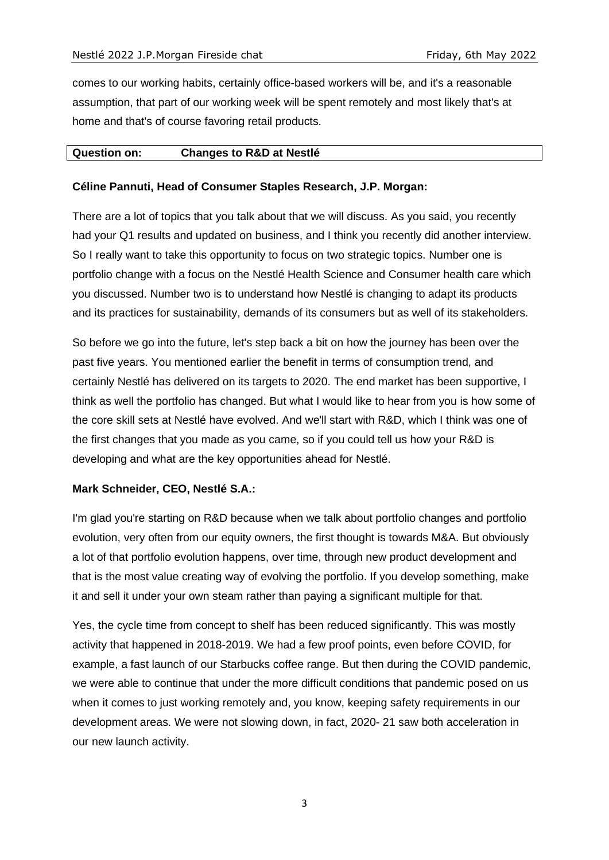comes to our working habits, certainly office-based workers will be, and it's a reasonable assumption, that part of our working week will be spent remotely and most likely that's at home and that's of course favoring retail products.

## **Question on: Changes to R&D at Nestlé**

## **Céline Pannuti, Head of Consumer Staples Research, J.P. Morgan:**

There are a lot of topics that you talk about that we will discuss. As you said, you recently had your Q1 results and updated on business, and I think you recently did another interview. So I really want to take this opportunity to focus on two strategic topics. Number one is portfolio change with a focus on the Nestlé Health Science and Consumer health care which you discussed. Number two is to understand how Nestlé is changing to adapt its products and its practices for sustainability, demands of its consumers but as well of its stakeholders.

So before we go into the future, let's step back a bit on how the journey has been over the past five years. You mentioned earlier the benefit in terms of consumption trend, and certainly Nestlé has delivered on its targets to 2020. The end market has been supportive, I think as well the portfolio has changed. But what I would like to hear from you is how some of the core skill sets at Nestlé have evolved. And we'll start with R&D, which I think was one of the first changes that you made as you came, so if you could tell us how your R&D is developing and what are the key opportunities ahead for Nestlé.

## **Mark Schneider, CEO, Nestlé S.A.:**

I'm glad you're starting on R&D because when we talk about portfolio changes and portfolio evolution, very often from our equity owners, the first thought is towards M&A. But obviously a lot of that portfolio evolution happens, over time, through new product development and that is the most value creating way of evolving the portfolio. If you develop something, make it and sell it under your own steam rather than paying a significant multiple for that.

Yes, the cycle time from concept to shelf has been reduced significantly. This was mostly activity that happened in 2018-2019. We had a few proof points, even before COVID, for example, a fast launch of our Starbucks coffee range. But then during the COVID pandemic, we were able to continue that under the more difficult conditions that pandemic posed on us when it comes to just working remotely and, you know, keeping safety requirements in our development areas. We were not slowing down, in fact, 2020- 21 saw both acceleration in our new launch activity.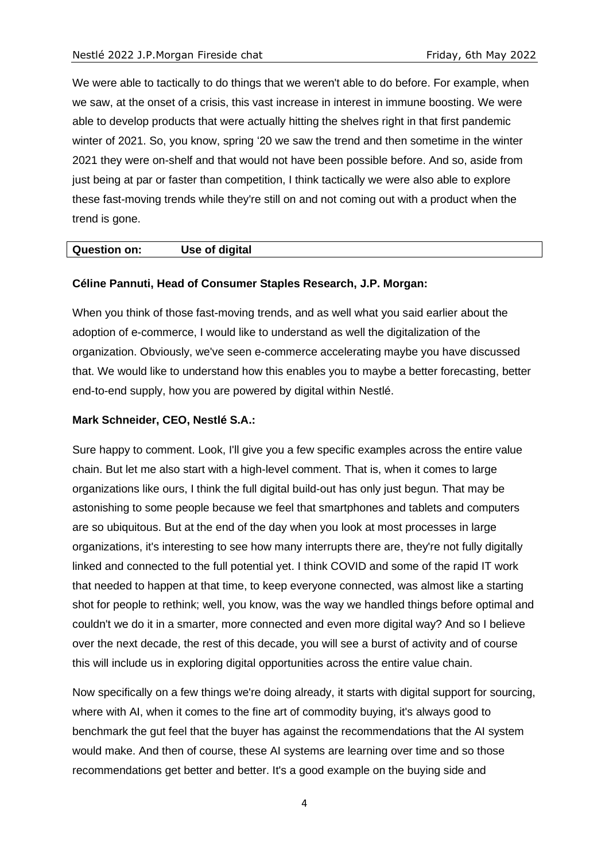We were able to tactically to do things that we weren't able to do before. For example, when we saw, at the onset of a crisis, this vast increase in interest in immune boosting. We were able to develop products that were actually hitting the shelves right in that first pandemic winter of 2021. So, you know, spring '20 we saw the trend and then sometime in the winter 2021 they were on-shelf and that would not have been possible before. And so, aside from just being at par or faster than competition, I think tactically we were also able to explore these fast-moving trends while they're still on and not coming out with a product when the trend is gone.

#### **Question on: Use of digital**

#### **Céline Pannuti, Head of Consumer Staples Research, J.P. Morgan:**

When you think of those fast-moving trends, and as well what you said earlier about the adoption of e-commerce, I would like to understand as well the digitalization of the organization. Obviously, we've seen e-commerce accelerating maybe you have discussed that. We would like to understand how this enables you to maybe a better forecasting, better end-to-end supply, how you are powered by digital within Nestlé.

## **Mark Schneider, CEO, Nestlé S.A.:**

Sure happy to comment. Look, I'll give you a few specific examples across the entire value chain. But let me also start with a high-level comment. That is, when it comes to large organizations like ours, I think the full digital build-out has only just begun. That may be astonishing to some people because we feel that smartphones and tablets and computers are so ubiquitous. But at the end of the day when you look at most processes in large organizations, it's interesting to see how many interrupts there are, they're not fully digitally linked and connected to the full potential yet. I think COVID and some of the rapid IT work that needed to happen at that time, to keep everyone connected, was almost like a starting shot for people to rethink; well, you know, was the way we handled things before optimal and couldn't we do it in a smarter, more connected and even more digital way? And so I believe over the next decade, the rest of this decade, you will see a burst of activity and of course this will include us in exploring digital opportunities across the entire value chain.

Now specifically on a few things we're doing already, it starts with digital support for sourcing, where with AI, when it comes to the fine art of commodity buying, it's always good to benchmark the gut feel that the buyer has against the recommendations that the AI system would make. And then of course, these AI systems are learning over time and so those recommendations get better and better. It's a good example on the buying side and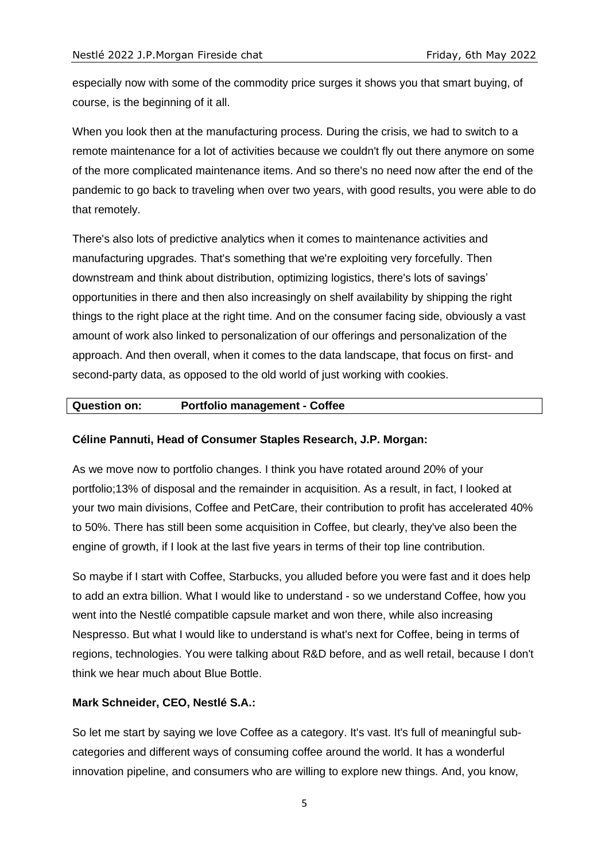especially now with some of the commodity price surges it shows you that smart buying, of course, is the beginning of it all.

When you look then at the manufacturing process. During the crisis, we had to switch to a remote maintenance for a lot of activities because we couldn't fly out there anymore on some of the more complicated maintenance items. And so there's no need now after the end of the pandemic to go back to traveling when over two years, with good results, you were able to do that remotely.

There's also lots of predictive analytics when it comes to maintenance activities and manufacturing upgrades. That's something that we're exploiting very forcefully. Then downstream and think about distribution, optimizing logistics, there's lots of savings' opportunities in there and then also increasingly on shelf availability by shipping the right things to the right place at the right time. And on the consumer facing side, obviously a vast amount of work also linked to personalization of our offerings and personalization of the approach. And then overall, when it comes to the data landscape, that focus on first- and second-party data, as opposed to the old world of just working with cookies.

## **Question on: Portfolio management - Coffee**

## **Céline Pannuti, Head of Consumer Staples Research, J.P. Morgan:**

As we move now to portfolio changes. I think you have rotated around 20% of your portfolio;13% of disposal and the remainder in acquisition. As a result, in fact, I looked at your two main divisions, Coffee and PetCare, their contribution to profit has accelerated 40% to 50%. There has still been some acquisition in Coffee, but clearly, they've also been the engine of growth, if I look at the last five years in terms of their top line contribution.

So maybe if I start with Coffee, Starbucks, you alluded before you were fast and it does help to add an extra billion. What I would like to understand - so we understand Coffee, how you went into the Nestlé compatible capsule market and won there, while also increasing Nespresso. But what I would like to understand is what's next for Coffee, being in terms of regions, technologies. You were talking about R&D before, and as well retail, because I don't think we hear much about Blue Bottle.

## **Mark Schneider, CEO, Nestlé S.A.:**

So let me start by saying we love Coffee as a category. It's vast. It's full of meaningful subcategories and different ways of consuming coffee around the world. It has a wonderful innovation pipeline, and consumers who are willing to explore new things. And, you know,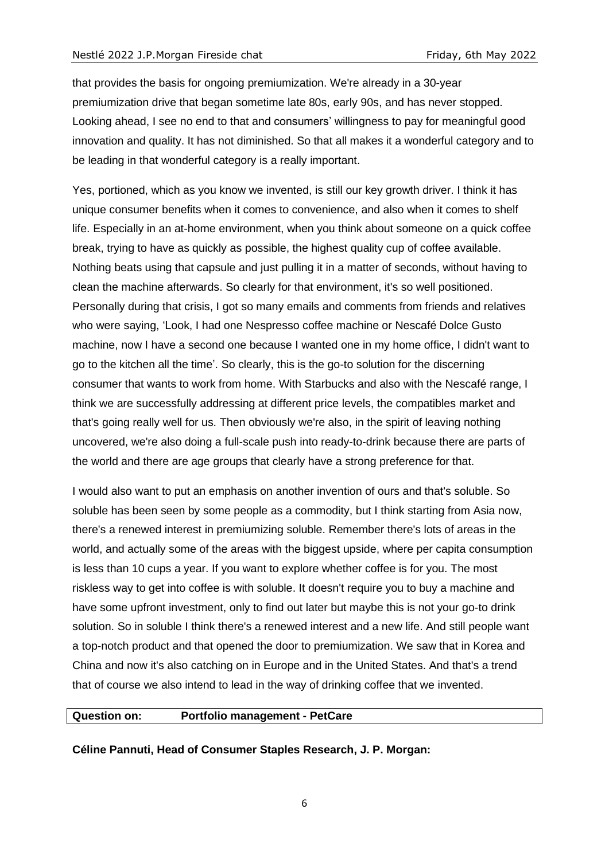that provides the basis for ongoing premiumization. We're already in a 30-year premiumization drive that began sometime late 80s, early 90s, and has never stopped. Looking ahead, I see no end to that and consumers' willingness to pay for meaningful good innovation and quality. It has not diminished. So that all makes it a wonderful category and to be leading in that wonderful category is a really important.

Yes, portioned, which as you know we invented, is still our key growth driver. I think it has unique consumer benefits when it comes to convenience, and also when it comes to shelf life. Especially in an at-home environment, when you think about someone on a quick coffee break, trying to have as quickly as possible, the highest quality cup of coffee available. Nothing beats using that capsule and just pulling it in a matter of seconds, without having to clean the machine afterwards. So clearly for that environment, it's so well positioned. Personally during that crisis, I got so many emails and comments from friends and relatives who were saying, 'Look, I had one Nespresso coffee machine or Nescafé Dolce Gusto machine, now I have a second one because I wanted one in my home office, I didn't want to go to the kitchen all the time'. So clearly, this is the go-to solution for the discerning consumer that wants to work from home. With Starbucks and also with the Nescafé range, I think we are successfully addressing at different price levels, the compatibles market and that's going really well for us. Then obviously we're also, in the spirit of leaving nothing uncovered, we're also doing a full-scale push into ready-to-drink because there are parts of the world and there are age groups that clearly have a strong preference for that.

I would also want to put an emphasis on another invention of ours and that's soluble. So soluble has been seen by some people as a commodity, but I think starting from Asia now, there's a renewed interest in premiumizing soluble. Remember there's lots of areas in the world, and actually some of the areas with the biggest upside, where per capita consumption is less than 10 cups a year. If you want to explore whether coffee is for you. The most riskless way to get into coffee is with soluble. It doesn't require you to buy a machine and have some upfront investment, only to find out later but maybe this is not your go-to drink solution. So in soluble I think there's a renewed interest and a new life. And still people want a top-notch product and that opened the door to premiumization. We saw that in Korea and China and now it's also catching on in Europe and in the United States. And that's a trend that of course we also intend to lead in the way of drinking coffee that we invented.

#### **Question on: Portfolio management - PetCare**

**Céline Pannuti, Head of Consumer Staples Research, J. P. Morgan:**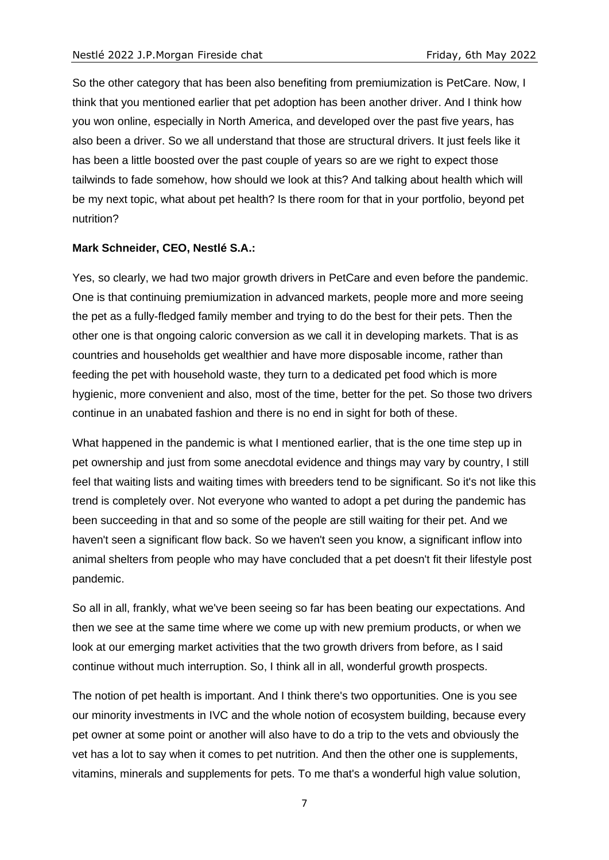So the other category that has been also benefiting from premiumization is PetCare. Now, I think that you mentioned earlier that pet adoption has been another driver. And I think how you won online, especially in North America, and developed over the past five years, has also been a driver. So we all understand that those are structural drivers. It just feels like it has been a little boosted over the past couple of years so are we right to expect those tailwinds to fade somehow, how should we look at this? And talking about health which will be my next topic, what about pet health? Is there room for that in your portfolio, beyond pet nutrition?

## **Mark Schneider, CEO, Nestlé S.A.:**

Yes, so clearly, we had two major growth drivers in PetCare and even before the pandemic. One is that continuing premiumization in advanced markets, people more and more seeing the pet as a fully-fledged family member and trying to do the best for their pets. Then the other one is that ongoing caloric conversion as we call it in developing markets. That is as countries and households get wealthier and have more disposable income, rather than feeding the pet with household waste, they turn to a dedicated pet food which is more hygienic, more convenient and also, most of the time, better for the pet. So those two drivers continue in an unabated fashion and there is no end in sight for both of these.

What happened in the pandemic is what I mentioned earlier, that is the one time step up in pet ownership and just from some anecdotal evidence and things may vary by country, I still feel that waiting lists and waiting times with breeders tend to be significant. So it's not like this trend is completely over. Not everyone who wanted to adopt a pet during the pandemic has been succeeding in that and so some of the people are still waiting for their pet. And we haven't seen a significant flow back. So we haven't seen you know, a significant inflow into animal shelters from people who may have concluded that a pet doesn't fit their lifestyle post pandemic.

So all in all, frankly, what we've been seeing so far has been beating our expectations. And then we see at the same time where we come up with new premium products, or when we look at our emerging market activities that the two growth drivers from before, as I said continue without much interruption. So, I think all in all, wonderful growth prospects.

The notion of pet health is important. And I think there's two opportunities. One is you see our minority investments in IVC and the whole notion of ecosystem building, because every pet owner at some point or another will also have to do a trip to the vets and obviously the vet has a lot to say when it comes to pet nutrition. And then the other one is supplements, vitamins, minerals and supplements for pets. To me that's a wonderful high value solution,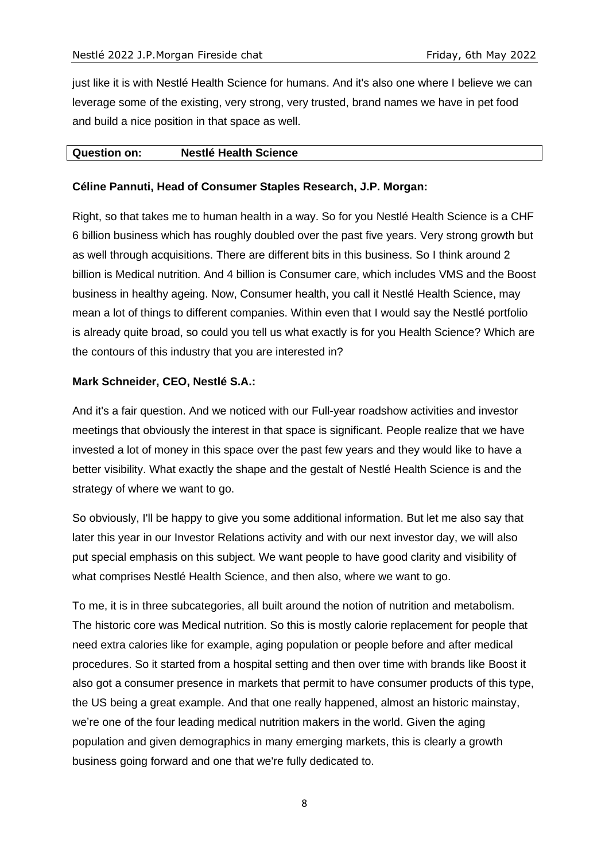just like it is with Nestlé Health Science for humans. And it's also one where I believe we can leverage some of the existing, very strong, very trusted, brand names we have in pet food and build a nice position in that space as well.

## **Question on: Nestlé Health Science**

## **Céline Pannuti, Head of Consumer Staples Research, J.P. Morgan:**

Right, so that takes me to human health in a way. So for you Nestlé Health Science is a CHF 6 billion business which has roughly doubled over the past five years. Very strong growth but as well through acquisitions. There are different bits in this business. So I think around 2 billion is Medical nutrition. And 4 billion is Consumer care, which includes VMS and the Boost business in healthy ageing. Now, Consumer health, you call it Nestlé Health Science, may mean a lot of things to different companies. Within even that I would say the Nestlé portfolio is already quite broad, so could you tell us what exactly is for you Health Science? Which are the contours of this industry that you are interested in?

## **Mark Schneider, CEO, Nestlé S.A.:**

And it's a fair question. And we noticed with our Full-year roadshow activities and investor meetings that obviously the interest in that space is significant. People realize that we have invested a lot of money in this space over the past few years and they would like to have a better visibility. What exactly the shape and the gestalt of Nestlé Health Science is and the strategy of where we want to go.

So obviously, I'll be happy to give you some additional information. But let me also say that later this year in our Investor Relations activity and with our next investor day, we will also put special emphasis on this subject. We want people to have good clarity and visibility of what comprises Nestlé Health Science, and then also, where we want to go.

To me, it is in three subcategories, all built around the notion of nutrition and metabolism. The historic core was Medical nutrition. So this is mostly calorie replacement for people that need extra calories like for example, aging population or people before and after medical procedures. So it started from a hospital setting and then over time with brands like Boost it also got a consumer presence in markets that permit to have consumer products of this type, the US being a great example. And that one really happened, almost an historic mainstay, we're one of the four leading medical nutrition makers in the world. Given the aging population and given demographics in many emerging markets, this is clearly a growth business going forward and one that we're fully dedicated to.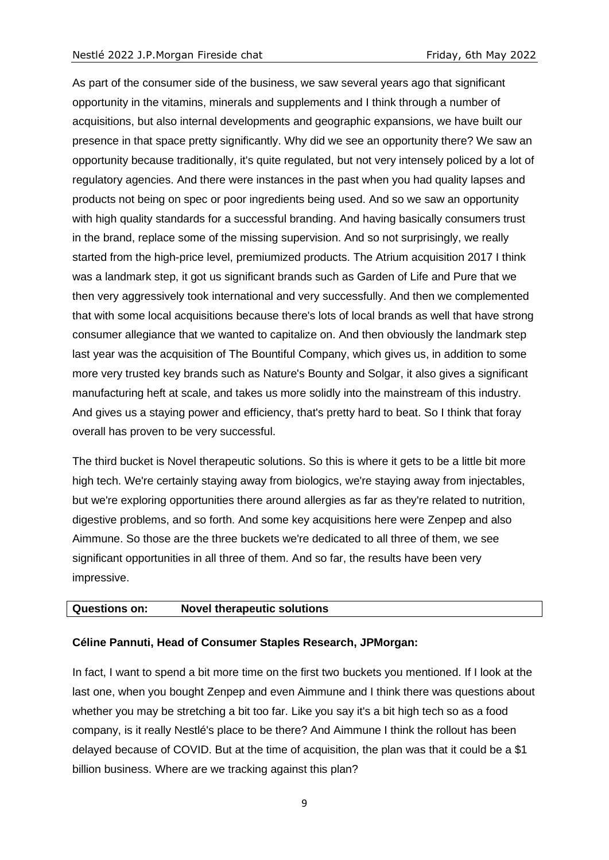As part of the consumer side of the business, we saw several years ago that significant opportunity in the vitamins, minerals and supplements and I think through a number of acquisitions, but also internal developments and geographic expansions, we have built our presence in that space pretty significantly. Why did we see an opportunity there? We saw an opportunity because traditionally, it's quite regulated, but not very intensely policed by a lot of regulatory agencies. And there were instances in the past when you had quality lapses and products not being on spec or poor ingredients being used. And so we saw an opportunity with high quality standards for a successful branding. And having basically consumers trust in the brand, replace some of the missing supervision. And so not surprisingly, we really started from the high-price level, premiumized products. The Atrium acquisition 2017 I think was a landmark step, it got us significant brands such as Garden of Life and Pure that we then very aggressively took international and very successfully. And then we complemented that with some local acquisitions because there's lots of local brands as well that have strong consumer allegiance that we wanted to capitalize on. And then obviously the landmark step last year was the acquisition of The Bountiful Company, which gives us, in addition to some more very trusted key brands such as Nature's Bounty and Solgar, it also gives a significant manufacturing heft at scale, and takes us more solidly into the mainstream of this industry. And gives us a staying power and efficiency, that's pretty hard to beat. So I think that foray overall has proven to be very successful.

The third bucket is Novel therapeutic solutions. So this is where it gets to be a little bit more high tech. We're certainly staying away from biologics, we're staying away from injectables, but we're exploring opportunities there around allergies as far as they're related to nutrition, digestive problems, and so forth. And some key acquisitions here were Zenpep and also Aimmune. So those are the three buckets we're dedicated to all three of them, we see significant opportunities in all three of them. And so far, the results have been very impressive.

## **Questions on: Novel therapeutic solutions**

#### **Céline Pannuti, Head of Consumer Staples Research, JPMorgan:**

In fact, I want to spend a bit more time on the first two buckets you mentioned. If I look at the last one, when you bought Zenpep and even Aimmune and I think there was questions about whether you may be stretching a bit too far. Like you say it's a bit high tech so as a food company, is it really Nestlé's place to be there? And Aimmune I think the rollout has been delayed because of COVID. But at the time of acquisition, the plan was that it could be a \$1 billion business. Where are we tracking against this plan?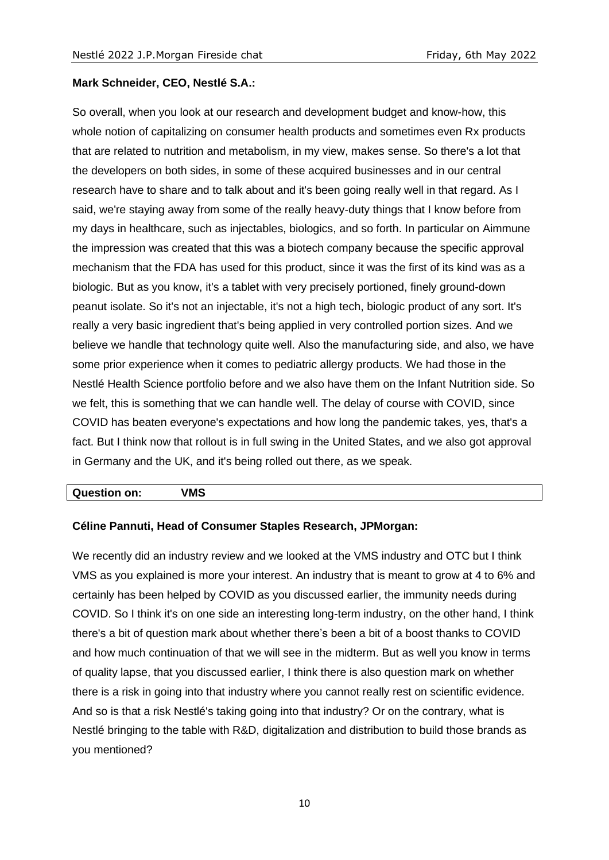## **Mark Schneider, CEO, Nestlé S.A.:**

So overall, when you look at our research and development budget and know-how, this whole notion of capitalizing on consumer health products and sometimes even Rx products that are related to nutrition and metabolism, in my view, makes sense. So there's a lot that the developers on both sides, in some of these acquired businesses and in our central research have to share and to talk about and it's been going really well in that regard. As I said, we're staying away from some of the really heavy-duty things that I know before from my days in healthcare, such as injectables, biologics, and so forth. In particular on Aimmune the impression was created that this was a biotech company because the specific approval mechanism that the FDA has used for this product, since it was the first of its kind was as a biologic. But as you know, it's a tablet with very precisely portioned, finely ground-down peanut isolate. So it's not an injectable, it's not a high tech, biologic product of any sort. It's really a very basic ingredient that's being applied in very controlled portion sizes. And we believe we handle that technology quite well. Also the manufacturing side, and also, we have some prior experience when it comes to pediatric allergy products. We had those in the Nestlé Health Science portfolio before and we also have them on the Infant Nutrition side. So we felt, this is something that we can handle well. The delay of course with COVID, since COVID has beaten everyone's expectations and how long the pandemic takes, yes, that's a fact. But I think now that rollout is in full swing in the United States, and we also got approval in Germany and the UK, and it's being rolled out there, as we speak.

## **Question on: VMS**

## **Céline Pannuti, Head of Consumer Staples Research, JPMorgan:**

We recently did an industry review and we looked at the VMS industry and OTC but I think VMS as you explained is more your interest. An industry that is meant to grow at 4 to 6% and certainly has been helped by COVID as you discussed earlier, the immunity needs during COVID. So I think it's on one side an interesting long-term industry, on the other hand, I think there's a bit of question mark about whether there's been a bit of a boost thanks to COVID and how much continuation of that we will see in the midterm. But as well you know in terms of quality lapse, that you discussed earlier, I think there is also question mark on whether there is a risk in going into that industry where you cannot really rest on scientific evidence. And so is that a risk Nestlé's taking going into that industry? Or on the contrary, what is Nestlé bringing to the table with R&D, digitalization and distribution to build those brands as you mentioned?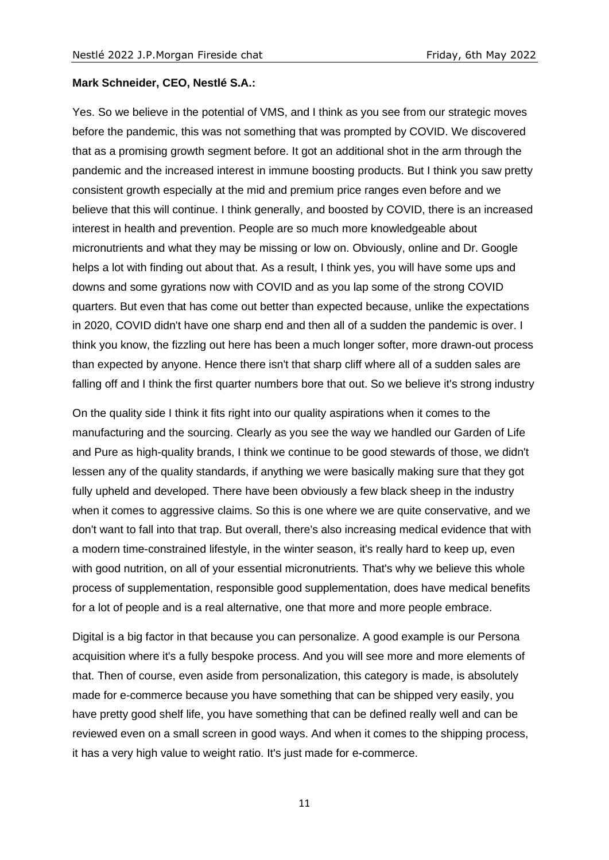## **Mark Schneider, CEO, Nestlé S.A.:**

Yes. So we believe in the potential of VMS, and I think as you see from our strategic moves before the pandemic, this was not something that was prompted by COVID. We discovered that as a promising growth segment before. It got an additional shot in the arm through the pandemic and the increased interest in immune boosting products. But I think you saw pretty consistent growth especially at the mid and premium price ranges even before and we believe that this will continue. I think generally, and boosted by COVID, there is an increased interest in health and prevention. People are so much more knowledgeable about micronutrients and what they may be missing or low on. Obviously, online and Dr. Google helps a lot with finding out about that. As a result, I think yes, you will have some ups and downs and some gyrations now with COVID and as you lap some of the strong COVID quarters. But even that has come out better than expected because, unlike the expectations in 2020, COVID didn't have one sharp end and then all of a sudden the pandemic is over. I think you know, the fizzling out here has been a much longer softer, more drawn-out process than expected by anyone. Hence there isn't that sharp cliff where all of a sudden sales are falling off and I think the first quarter numbers bore that out. So we believe it's strong industry

On the quality side I think it fits right into our quality aspirations when it comes to the manufacturing and the sourcing. Clearly as you see the way we handled our Garden of Life and Pure as high-quality brands, I think we continue to be good stewards of those, we didn't lessen any of the quality standards, if anything we were basically making sure that they got fully upheld and developed. There have been obviously a few black sheep in the industry when it comes to aggressive claims. So this is one where we are quite conservative, and we don't want to fall into that trap. But overall, there's also increasing medical evidence that with a modern time-constrained lifestyle, in the winter season, it's really hard to keep up, even with good nutrition, on all of your essential micronutrients. That's why we believe this whole process of supplementation, responsible good supplementation, does have medical benefits for a lot of people and is a real alternative, one that more and more people embrace.

Digital is a big factor in that because you can personalize. A good example is our Persona acquisition where it's a fully bespoke process. And you will see more and more elements of that. Then of course, even aside from personalization, this category is made, is absolutely made for e-commerce because you have something that can be shipped very easily, you have pretty good shelf life, you have something that can be defined really well and can be reviewed even on a small screen in good ways. And when it comes to the shipping process, it has a very high value to weight ratio. It's just made for e-commerce.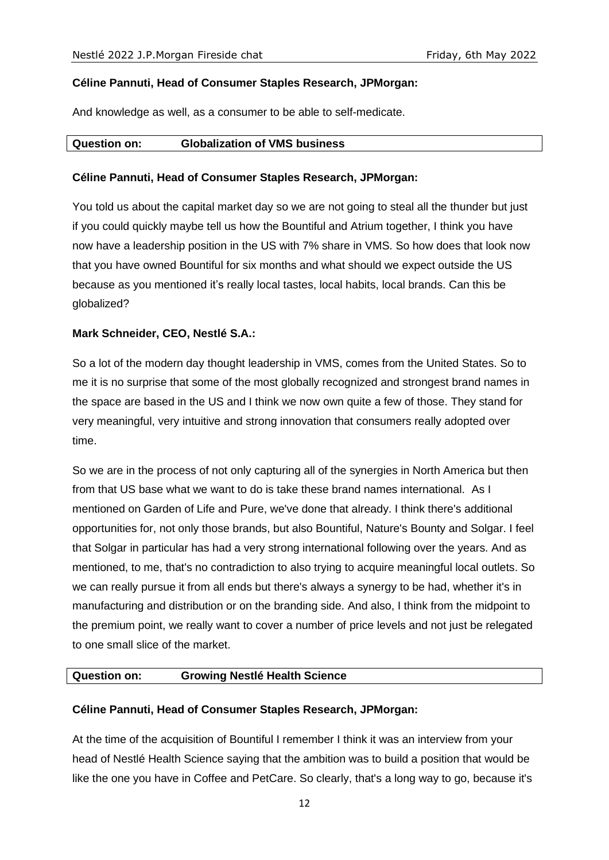## **Céline Pannuti, Head of Consumer Staples Research, JPMorgan:**

And knowledge as well, as a consumer to be able to self-medicate.

## **Question on: Globalization of VMS business**

## **Céline Pannuti, Head of Consumer Staples Research, JPMorgan:**

You told us about the capital market day so we are not going to steal all the thunder but just if you could quickly maybe tell us how the Bountiful and Atrium together, I think you have now have a leadership position in the US with 7% share in VMS. So how does that look now that you have owned Bountiful for six months and what should we expect outside the US because as you mentioned it's really local tastes, local habits, local brands. Can this be globalized?

## **Mark Schneider, CEO, Nestlé S.A.:**

So a lot of the modern day thought leadership in VMS, comes from the United States. So to me it is no surprise that some of the most globally recognized and strongest brand names in the space are based in the US and I think we now own quite a few of those. They stand for very meaningful, very intuitive and strong innovation that consumers really adopted over time.

So we are in the process of not only capturing all of the synergies in North America but then from that US base what we want to do is take these brand names international. As I mentioned on Garden of Life and Pure, we've done that already. I think there's additional opportunities for, not only those brands, but also Bountiful, Nature's Bounty and Solgar. I feel that Solgar in particular has had a very strong international following over the years. And as mentioned, to me, that's no contradiction to also trying to acquire meaningful local outlets. So we can really pursue it from all ends but there's always a synergy to be had, whether it's in manufacturing and distribution or on the branding side. And also, I think from the midpoint to the premium point, we really want to cover a number of price levels and not just be relegated to one small slice of the market.

## **Question on: Growing Nestlé Health Science**

## **Céline Pannuti, Head of Consumer Staples Research, JPMorgan:**

At the time of the acquisition of Bountiful I remember I think it was an interview from your head of Nestlé Health Science saying that the ambition was to build a position that would be like the one you have in Coffee and PetCare. So clearly, that's a long way to go, because it's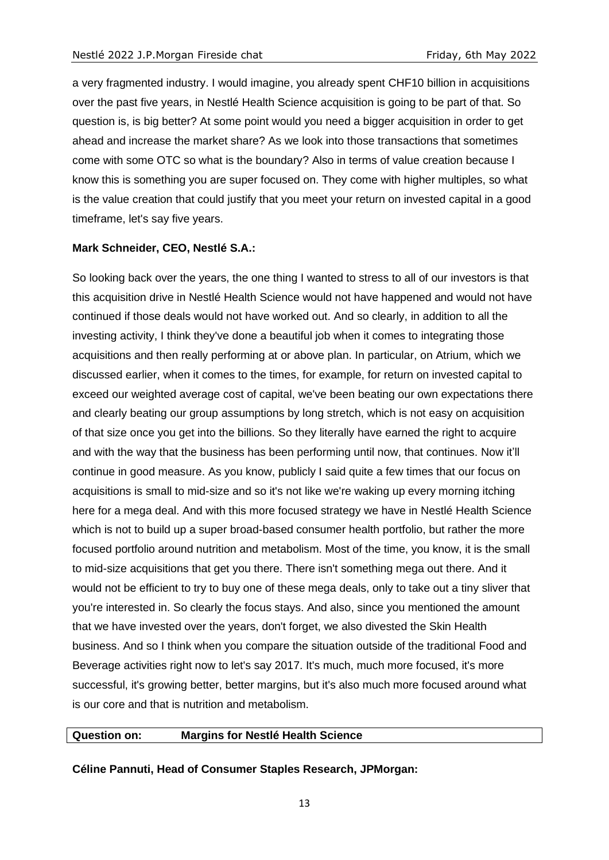a very fragmented industry. I would imagine, you already spent CHF10 billion in acquisitions over the past five years, in Nestlé Health Science acquisition is going to be part of that. So question is, is big better? At some point would you need a bigger acquisition in order to get ahead and increase the market share? As we look into those transactions that sometimes come with some OTC so what is the boundary? Also in terms of value creation because I know this is something you are super focused on. They come with higher multiples, so what is the value creation that could justify that you meet your return on invested capital in a good timeframe, let's say five years.

## **Mark Schneider, CEO, Nestlé S.A.:**

So looking back over the years, the one thing I wanted to stress to all of our investors is that this acquisition drive in Nestlé Health Science would not have happened and would not have continued if those deals would not have worked out. And so clearly, in addition to all the investing activity, I think they've done a beautiful job when it comes to integrating those acquisitions and then really performing at or above plan. In particular, on Atrium, which we discussed earlier, when it comes to the times, for example, for return on invested capital to exceed our weighted average cost of capital, we've been beating our own expectations there and clearly beating our group assumptions by long stretch, which is not easy on acquisition of that size once you get into the billions. So they literally have earned the right to acquire and with the way that the business has been performing until now, that continues. Now it'll continue in good measure. As you know, publicly I said quite a few times that our focus on acquisitions is small to mid-size and so it's not like we're waking up every morning itching here for a mega deal. And with this more focused strategy we have in Nestlé Health Science which is not to build up a super broad-based consumer health portfolio, but rather the more focused portfolio around nutrition and metabolism. Most of the time, you know, it is the small to mid-size acquisitions that get you there. There isn't something mega out there. And it would not be efficient to try to buy one of these mega deals, only to take out a tiny sliver that you're interested in. So clearly the focus stays. And also, since you mentioned the amount that we have invested over the years, don't forget, we also divested the Skin Health business. And so I think when you compare the situation outside of the traditional Food and Beverage activities right now to let's say 2017. It's much, much more focused, it's more successful, it's growing better, better margins, but it's also much more focused around what is our core and that is nutrition and metabolism.

## **Question on: Margins for Nestlé Health Science**

**Céline Pannuti, Head of Consumer Staples Research, JPMorgan:**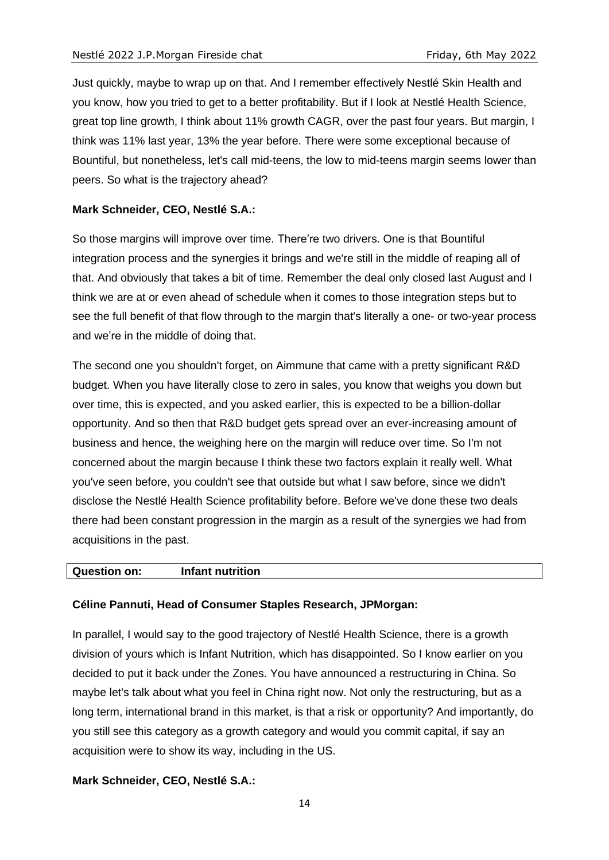Just quickly, maybe to wrap up on that. And I remember effectively Nestlé Skin Health and you know, how you tried to get to a better profitability. But if I look at Nestlé Health Science, great top line growth, I think about 11% growth CAGR, over the past four years. But margin, I think was 11% last year, 13% the year before. There were some exceptional because of Bountiful, but nonetheless, let's call mid-teens, the low to mid-teens margin seems lower than peers. So what is the trajectory ahead?

## **Mark Schneider, CEO, Nestlé S.A.:**

So those margins will improve over time. There're two drivers. One is that Bountiful integration process and the synergies it brings and we're still in the middle of reaping all of that. And obviously that takes a bit of time. Remember the deal only closed last August and I think we are at or even ahead of schedule when it comes to those integration steps but to see the full benefit of that flow through to the margin that's literally a one- or two-year process and we're in the middle of doing that.

The second one you shouldn't forget, on Aimmune that came with a pretty significant R&D budget. When you have literally close to zero in sales, you know that weighs you down but over time, this is expected, and you asked earlier, this is expected to be a billion-dollar opportunity. And so then that R&D budget gets spread over an ever-increasing amount of business and hence, the weighing here on the margin will reduce over time. So I'm not concerned about the margin because I think these two factors explain it really well. What you've seen before, you couldn't see that outside but what I saw before, since we didn't disclose the Nestlé Health Science profitability before. Before we've done these two deals there had been constant progression in the margin as a result of the synergies we had from acquisitions in the past.

## **Question on: Infant nutrition**

## **Céline Pannuti, Head of Consumer Staples Research, JPMorgan:**

In parallel, I would say to the good trajectory of Nestlé Health Science, there is a growth division of yours which is Infant Nutrition, which has disappointed. So I know earlier on you decided to put it back under the Zones. You have announced a restructuring in China. So maybe let's talk about what you feel in China right now. Not only the restructuring, but as a long term, international brand in this market, is that a risk or opportunity? And importantly, do you still see this category as a growth category and would you commit capital, if say an acquisition were to show its way, including in the US.

## **Mark Schneider, CEO, Nestlé S.A.:**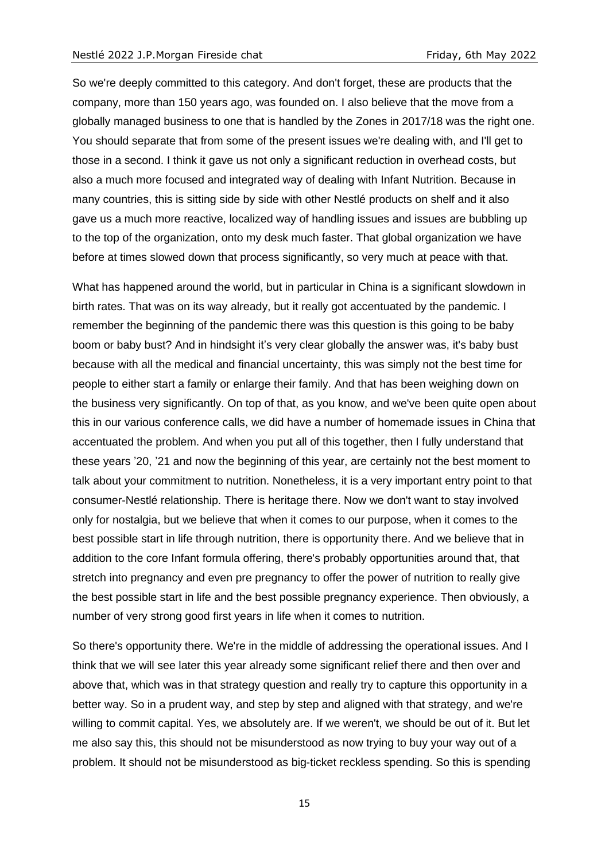So we're deeply committed to this category. And don't forget, these are products that the company, more than 150 years ago, was founded on. I also believe that the move from a globally managed business to one that is handled by the Zones in 2017/18 was the right one. You should separate that from some of the present issues we're dealing with, and I'll get to those in a second. I think it gave us not only a significant reduction in overhead costs, but also a much more focused and integrated way of dealing with Infant Nutrition. Because in many countries, this is sitting side by side with other Nestlé products on shelf and it also gave us a much more reactive, localized way of handling issues and issues are bubbling up to the top of the organization, onto my desk much faster. That global organization we have before at times slowed down that process significantly, so very much at peace with that.

What has happened around the world, but in particular in China is a significant slowdown in birth rates. That was on its way already, but it really got accentuated by the pandemic. I remember the beginning of the pandemic there was this question is this going to be baby boom or baby bust? And in hindsight it's very clear globally the answer was, it's baby bust because with all the medical and financial uncertainty, this was simply not the best time for people to either start a family or enlarge their family. And that has been weighing down on the business very significantly. On top of that, as you know, and we've been quite open about this in our various conference calls, we did have a number of homemade issues in China that accentuated the problem. And when you put all of this together, then I fully understand that these years '20, '21 and now the beginning of this year, are certainly not the best moment to talk about your commitment to nutrition. Nonetheless, it is a very important entry point to that consumer-Nestlé relationship. There is heritage there. Now we don't want to stay involved only for nostalgia, but we believe that when it comes to our purpose, when it comes to the best possible start in life through nutrition, there is opportunity there. And we believe that in addition to the core Infant formula offering, there's probably opportunities around that, that stretch into pregnancy and even pre pregnancy to offer the power of nutrition to really give the best possible start in life and the best possible pregnancy experience. Then obviously, a number of very strong good first years in life when it comes to nutrition.

So there's opportunity there. We're in the middle of addressing the operational issues. And I think that we will see later this year already some significant relief there and then over and above that, which was in that strategy question and really try to capture this opportunity in a better way. So in a prudent way, and step by step and aligned with that strategy, and we're willing to commit capital. Yes, we absolutely are. If we weren't, we should be out of it. But let me also say this, this should not be misunderstood as now trying to buy your way out of a problem. It should not be misunderstood as big-ticket reckless spending. So this is spending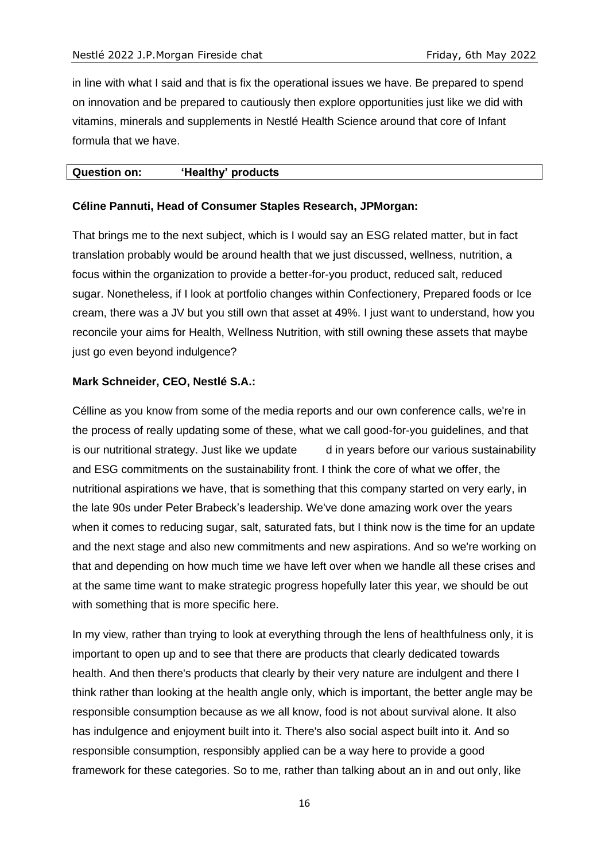in line with what I said and that is fix the operational issues we have. Be prepared to spend on innovation and be prepared to cautiously then explore opportunities just like we did with vitamins, minerals and supplements in Nestlé Health Science around that core of Infant formula that we have.

#### **Question on: 'Healthy' products**

## **Céline Pannuti, Head of Consumer Staples Research, JPMorgan:**

That brings me to the next subject, which is I would say an ESG related matter, but in fact translation probably would be around health that we just discussed, wellness, nutrition, a focus within the organization to provide a better-for-you product, reduced salt, reduced sugar. Nonetheless, if I look at portfolio changes within Confectionery, Prepared foods or Ice cream, there was a JV but you still own that asset at 49%. I just want to understand, how you reconcile your aims for Health, Wellness Nutrition, with still owning these assets that maybe just go even beyond indulgence?

## **Mark Schneider, CEO, Nestlé S.A.:**

Célline as you know from some of the media reports and our own conference calls, we're in the process of really updating some of these, what we call good-for-you guidelines, and that is our nutritional strategy. Just like we update d in years before our various sustainability and ESG commitments on the sustainability front. I think the core of what we offer, the nutritional aspirations we have, that is something that this company started on very early, in the late 90s under Peter Brabeck's leadership. We've done amazing work over the years when it comes to reducing sugar, salt, saturated fats, but I think now is the time for an update and the next stage and also new commitments and new aspirations. And so we're working on that and depending on how much time we have left over when we handle all these crises and at the same time want to make strategic progress hopefully later this year, we should be out with something that is more specific here.

In my view, rather than trying to look at everything through the lens of healthfulness only, it is important to open up and to see that there are products that clearly dedicated towards health. And then there's products that clearly by their very nature are indulgent and there I think rather than looking at the health angle only, which is important, the better angle may be responsible consumption because as we all know, food is not about survival alone. It also has indulgence and enjoyment built into it. There's also social aspect built into it. And so responsible consumption, responsibly applied can be a way here to provide a good framework for these categories. So to me, rather than talking about an in and out only, like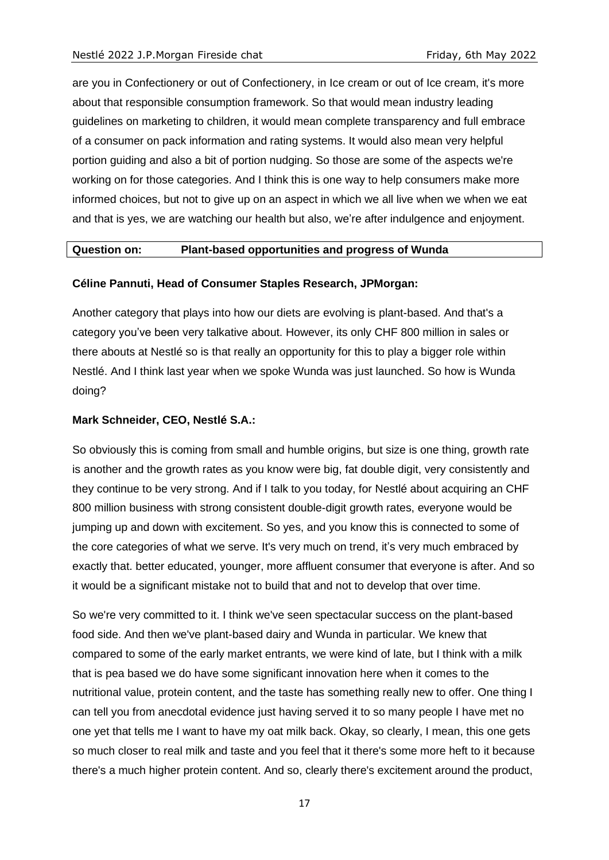are you in Confectionery or out of Confectionery, in Ice cream or out of Ice cream, it's more about that responsible consumption framework. So that would mean industry leading guidelines on marketing to children, it would mean complete transparency and full embrace of a consumer on pack information and rating systems. It would also mean very helpful portion guiding and also a bit of portion nudging. So those are some of the aspects we're working on for those categories. And I think this is one way to help consumers make more informed choices, but not to give up on an aspect in which we all live when we when we eat and that is yes, we are watching our health but also, we're after indulgence and enjoyment.

## **Question on: Plant-based opportunities and progress of Wunda**

## **Céline Pannuti, Head of Consumer Staples Research, JPMorgan:**

Another category that plays into how our diets are evolving is plant-based. And that's a category you've been very talkative about. However, its only CHF 800 million in sales or there abouts at Nestlé so is that really an opportunity for this to play a bigger role within Nestlé. And I think last year when we spoke Wunda was just launched. So how is Wunda doing?

## **Mark Schneider, CEO, Nestlé S.A.:**

So obviously this is coming from small and humble origins, but size is one thing, growth rate is another and the growth rates as you know were big, fat double digit, very consistently and they continue to be very strong. And if I talk to you today, for Nestlé about acquiring an CHF 800 million business with strong consistent double-digit growth rates, everyone would be jumping up and down with excitement. So yes, and you know this is connected to some of the core categories of what we serve. It's very much on trend, it's very much embraced by exactly that. better educated, younger, more affluent consumer that everyone is after. And so it would be a significant mistake not to build that and not to develop that over time.

So we're very committed to it. I think we've seen spectacular success on the plant-based food side. And then we've plant-based dairy and Wunda in particular. We knew that compared to some of the early market entrants, we were kind of late, but I think with a milk that is pea based we do have some significant innovation here when it comes to the nutritional value, protein content, and the taste has something really new to offer. One thing I can tell you from anecdotal evidence just having served it to so many people I have met no one yet that tells me I want to have my oat milk back. Okay, so clearly, I mean, this one gets so much closer to real milk and taste and you feel that it there's some more heft to it because there's a much higher protein content. And so, clearly there's excitement around the product,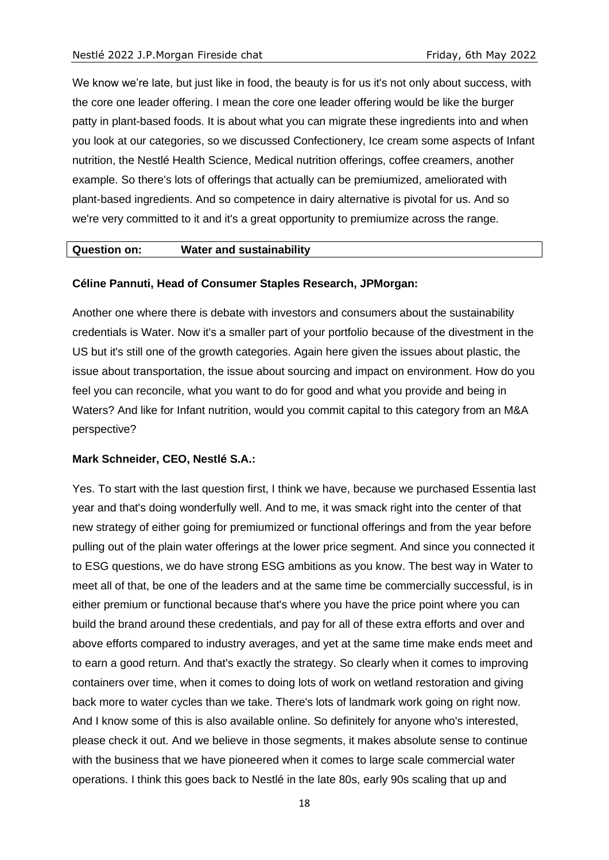We know we're late, but just like in food, the beauty is for us it's not only about success, with the core one leader offering. I mean the core one leader offering would be like the burger patty in plant-based foods. It is about what you can migrate these ingredients into and when you look at our categories, so we discussed Confectionery, Ice cream some aspects of Infant nutrition, the Nestlé Health Science, Medical nutrition offerings, coffee creamers, another example. So there's lots of offerings that actually can be premiumized, ameliorated with plant-based ingredients. And so competence in dairy alternative is pivotal for us. And so we're very committed to it and it's a great opportunity to premiumize across the range.

#### **Question on: Water and sustainability**

#### **Céline Pannuti, Head of Consumer Staples Research, JPMorgan:**

Another one where there is debate with investors and consumers about the sustainability credentials is Water. Now it's a smaller part of your portfolio because of the divestment in the US but it's still one of the growth categories. Again here given the issues about plastic, the issue about transportation, the issue about sourcing and impact on environment. How do you feel you can reconcile, what you want to do for good and what you provide and being in Waters? And like for Infant nutrition, would you commit capital to this category from an M&A perspective?

#### **Mark Schneider, CEO, Nestlé S.A.:**

Yes. To start with the last question first, I think we have, because we purchased Essentia last year and that's doing wonderfully well. And to me, it was smack right into the center of that new strategy of either going for premiumized or functional offerings and from the year before pulling out of the plain water offerings at the lower price segment. And since you connected it to ESG questions, we do have strong ESG ambitions as you know. The best way in Water to meet all of that, be one of the leaders and at the same time be commercially successful, is in either premium or functional because that's where you have the price point where you can build the brand around these credentials, and pay for all of these extra efforts and over and above efforts compared to industry averages, and yet at the same time make ends meet and to earn a good return. And that's exactly the strategy. So clearly when it comes to improving containers over time, when it comes to doing lots of work on wetland restoration and giving back more to water cycles than we take. There's lots of landmark work going on right now. And I know some of this is also available online. So definitely for anyone who's interested, please check it out. And we believe in those segments, it makes absolute sense to continue with the business that we have pioneered when it comes to large scale commercial water operations. I think this goes back to Nestlé in the late 80s, early 90s scaling that up and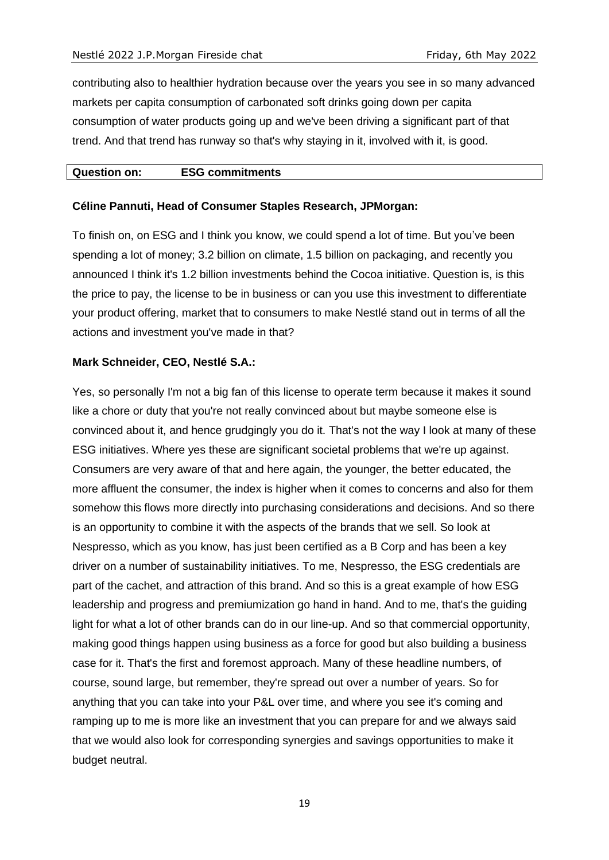contributing also to healthier hydration because over the years you see in so many advanced markets per capita consumption of carbonated soft drinks going down per capita consumption of water products going up and we've been driving a significant part of that trend. And that trend has runway so that's why staying in it, involved with it, is good.

#### **Question on: ESG commitments**

#### **Céline Pannuti, Head of Consumer Staples Research, JPMorgan:**

To finish on, on ESG and I think you know, we could spend a lot of time. But you've been spending a lot of money; 3.2 billion on climate, 1.5 billion on packaging, and recently you announced I think it's 1.2 billion investments behind the Cocoa initiative. Question is, is this the price to pay, the license to be in business or can you use this investment to differentiate your product offering, market that to consumers to make Nestlé stand out in terms of all the actions and investment you've made in that?

## **Mark Schneider, CEO, Nestlé S.A.:**

Yes, so personally I'm not a big fan of this license to operate term because it makes it sound like a chore or duty that you're not really convinced about but maybe someone else is convinced about it, and hence grudgingly you do it. That's not the way I look at many of these ESG initiatives. Where yes these are significant societal problems that we're up against. Consumers are very aware of that and here again, the younger, the better educated, the more affluent the consumer, the index is higher when it comes to concerns and also for them somehow this flows more directly into purchasing considerations and decisions. And so there is an opportunity to combine it with the aspects of the brands that we sell. So look at Nespresso, which as you know, has just been certified as a B Corp and has been a key driver on a number of sustainability initiatives. To me, Nespresso, the ESG credentials are part of the cachet, and attraction of this brand. And so this is a great example of how ESG leadership and progress and premiumization go hand in hand. And to me, that's the guiding light for what a lot of other brands can do in our line-up. And so that commercial opportunity, making good things happen using business as a force for good but also building a business case for it. That's the first and foremost approach. Many of these headline numbers, of course, sound large, but remember, they're spread out over a number of years. So for anything that you can take into your P&L over time, and where you see it's coming and ramping up to me is more like an investment that you can prepare for and we always said that we would also look for corresponding synergies and savings opportunities to make it budget neutral.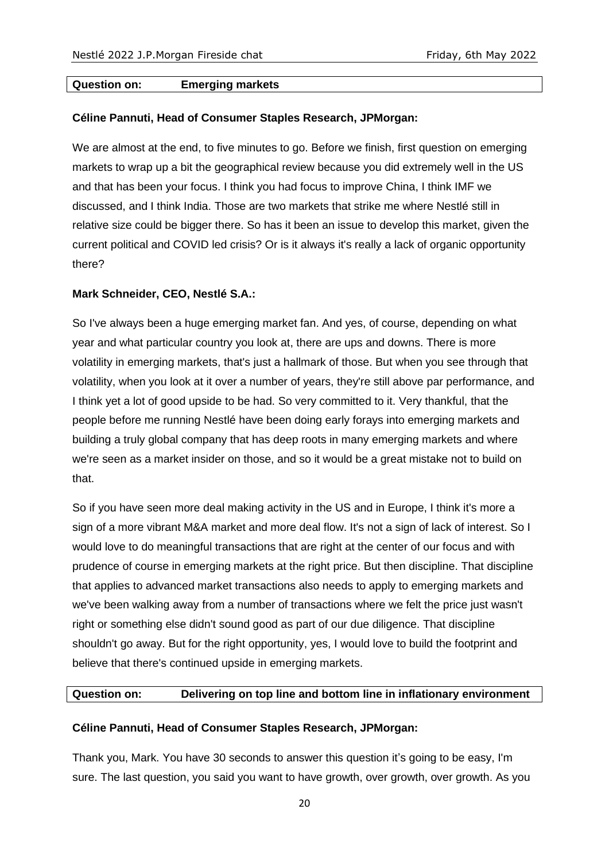## **Question on: Emerging markets**

#### **Céline Pannuti, Head of Consumer Staples Research, JPMorgan:**

We are almost at the end, to five minutes to go. Before we finish, first question on emerging markets to wrap up a bit the geographical review because you did extremely well in the US and that has been your focus. I think you had focus to improve China, I think IMF we discussed, and I think India. Those are two markets that strike me where Nestlé still in relative size could be bigger there. So has it been an issue to develop this market, given the current political and COVID led crisis? Or is it always it's really a lack of organic opportunity there?

#### **Mark Schneider, CEO, Nestlé S.A.:**

So I've always been a huge emerging market fan. And yes, of course, depending on what year and what particular country you look at, there are ups and downs. There is more volatility in emerging markets, that's just a hallmark of those. But when you see through that volatility, when you look at it over a number of years, they're still above par performance, and I think yet a lot of good upside to be had. So very committed to it. Very thankful, that the people before me running Nestlé have been doing early forays into emerging markets and building a truly global company that has deep roots in many emerging markets and where we're seen as a market insider on those, and so it would be a great mistake not to build on that.

So if you have seen more deal making activity in the US and in Europe, I think it's more a sign of a more vibrant M&A market and more deal flow. It's not a sign of lack of interest. So I would love to do meaningful transactions that are right at the center of our focus and with prudence of course in emerging markets at the right price. But then discipline. That discipline that applies to advanced market transactions also needs to apply to emerging markets and we've been walking away from a number of transactions where we felt the price just wasn't right or something else didn't sound good as part of our due diligence. That discipline shouldn't go away. But for the right opportunity, yes, I would love to build the footprint and believe that there's continued upside in emerging markets.

#### **Question on: Delivering on top line and bottom line in inflationary environment**

#### **Céline Pannuti, Head of Consumer Staples Research, JPMorgan:**

Thank you, Mark. You have 30 seconds to answer this question it's going to be easy, I'm sure. The last question, you said you want to have growth, over growth, over growth. As you